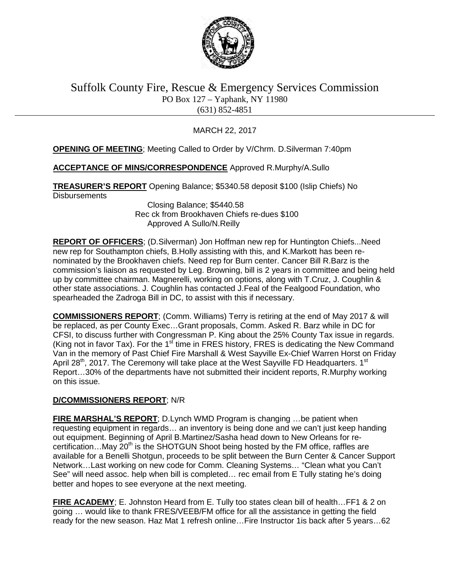

## Suffolk County Fire, Rescue & Emergency Services Commission PO Box 127 – Yaphank, NY 11980 (631) 852-4851

### MARCH 22, 2017

### **OPENING OF MEETING**; Meeting Called to Order by V/Chrm. D.Silverman 7:40pm

### **ACCEPTANCE OF MINS/CORRESPONDENCE** Approved R.Murphy/A.Sullo

**TREASURER'S REPORT** Opening Balance; \$5340.58 deposit \$100 (Islip Chiefs) No **Disbursements** 

 Closing Balance; \$5440.58 Rec ck from Brookhaven Chiefs re-dues \$100 Approved A Sullo/N.Reilly

**REPORT OF OFFICERS**; (D.Silverman) Jon Hoffman new rep for Huntington Chiefs...Need new rep for Southampton chiefs, B.Holly assisting with this, and K.Markott has been renominated by the Brookhaven chiefs. Need rep for Burn center. Cancer Bill R.Barz is the commission's liaison as requested by Leg. Browning, bill is 2 years in committee and being held up by committee chairman. Magnerelli, working on options, along with T.Cruz, J. Coughlin & other state associations. J. Coughlin has contacted J.Feal of the Fealgood Foundation, who spearheaded the Zadroga Bill in DC, to assist with this if necessary.

**COMMISSIONERS REPORT**; (Comm. Williams) Terry is retiring at the end of May 2017 & will be replaced, as per County Exec…Grant proposals, Comm. Asked R. Barz while in DC for CFSI, to discuss further with Congressman P. King about the 25% County Tax issue in regards. (King not in favor Tax). For the  $1<sup>st</sup>$  time in FRES history, FRES is dedicating the New Command Van in the memory of Past Chief Fire Marshall & West Sayville Ex-Chief Warren Horst on Friday April 28<sup>th</sup>, 2017. The Ceremony will take place at the West Sayville FD Headquarters.  $1<sup>st</sup>$ Report…30% of the departments have not submitted their incident reports, R.Murphy working on this issue.

### **D/COMMISSIONERS REPORT**; N/R

**FIRE MARSHAL'S REPORT**; D.Lynch WMD Program is changing …be patient when requesting equipment in regards… an inventory is being done and we can't just keep handing out equipment. Beginning of April B.Martinez/Sasha head down to New Orleans for recertification...May 20<sup>th</sup> is the SHOTGUN Shoot being hosted by the FM office, raffles are available for a Benelli Shotgun, proceeds to be split between the Burn Center & Cancer Support Network…Last working on new code for Comm. Cleaning Systems… "Clean what you Can't See" will need assoc. help when bill is completed… rec email from E Tully stating he's doing better and hopes to see everyone at the next meeting.

**FIRE ACADEMY**; E. Johnston Heard from E. Tully too states clean bill of health…FF1 & 2 on going … would like to thank FRES/VEEB/FM office for all the assistance in getting the field ready for the new season. Haz Mat 1 refresh online…Fire Instructor 1is back after 5 years…62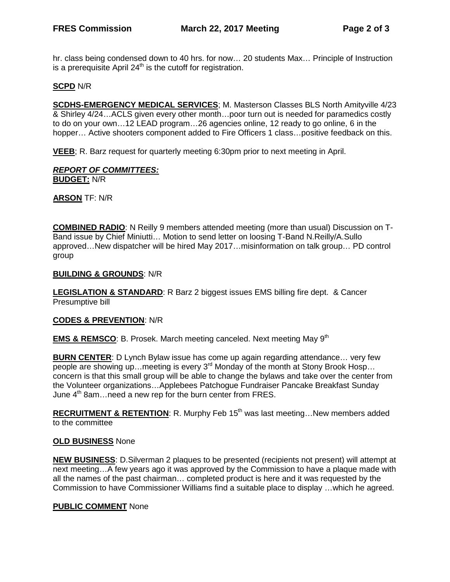hr. class being condensed down to 40 hrs. for now… 20 students Max… Principle of Instruction is a prerequisite April  $24<sup>th</sup>$  is the cutoff for registration.

### **SCPD** N/R

**SCDHS-EMERGENCY MEDICAL SERVICES**; M. Masterson Classes BLS North Amityville 4/23 & Shirley 4/24…ACLS given every other month…poor turn out is needed for paramedics costly to do on your own…12 LEAD program…26 agencies online, 12 ready to go online, 6 in the hopper... Active shooters component added to Fire Officers 1 class... positive feedback on this.

**VEEB**; R. Barz request for quarterly meeting 6:30pm prior to next meeting in April.

#### *REPORT OF COMMITTEES:* **BUDGET:** N/R

**ARSON** TF: N/R

**COMBINED RADIO**: N Reilly 9 members attended meeting (more than usual) Discussion on T-Band issue by Chief Miniutti… Motion to send letter on loosing T-Band N.Reilly/A.Sullo approved…New dispatcher will be hired May 2017…misinformation on talk group… PD control group

#### **BUILDING & GROUNDS**: N/R

**LEGISLATION & STANDARD**: R Barz 2 biggest issues EMS billing fire dept. & Cancer Presumptive bill

### **CODES & PREVENTION**: N/R

**EMS & REMSCO:** B. Prosek. March meeting canceled. Next meeting May 9<sup>th</sup>

**BURN CENTER:** D Lynch Bylaw issue has come up again regarding attendance... very few people are showing up... meeting is every  $3<sup>rd</sup>$  Monday of the month at Stony Brook Hosp... concern is that this small group will be able to change the bylaws and take over the center from the Volunteer organizations…Applebees Patchogue Fundraiser Pancake Breakfast Sunday June  $4<sup>th</sup>$  8am... need a new rep for the burn center from FRES.

**RECRUITMENT & RETENTION:** R. Murphy Feb 15<sup>th</sup> was last meeting...New members added to the committee

### **OLD BUSINESS** None

**NEW BUSINESS**: D.Silverman 2 plaques to be presented (recipients not present) will attempt at next meeting…A few years ago it was approved by the Commission to have a plaque made with all the names of the past chairman… completed product is here and it was requested by the Commission to have Commissioner Williams find a suitable place to display …which he agreed.

### **PUBLIC COMMENT** None